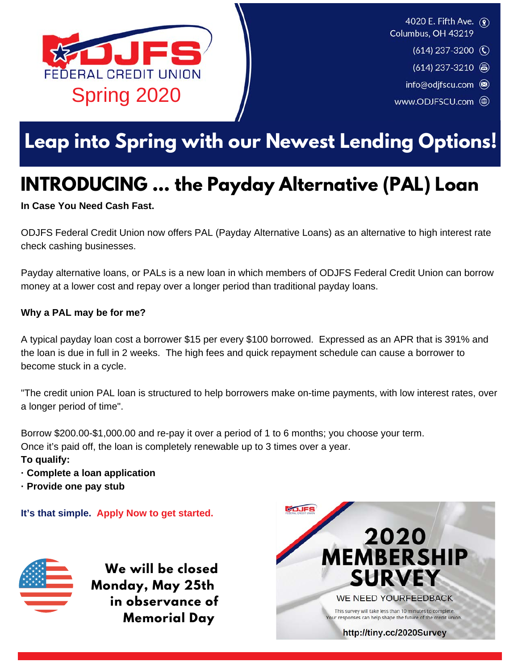

4020 E. Fifth Ave. (2) Columbus, OH 43219

- $(614)$  237-3200 (C)
- $(614)$  237-3210 a)
- info@odjfscu.com
- www.ODJFSCU.com (

## **Leap into Spring with our Newest Lending Options!**

## **INTRODUCING ... the Payday Alternative (PAL) Loan**

#### **In Case You Need Cash Fast.**

ODJFS Federal Credit Union now offers PAL (Payday Alternative Loans) as an alternative to high interest rate check cashing businesses.

Payday alternative loans, or PALs is a new loan in which members of ODJFS Federal Credit Union can borrow money at a lower cost and repay over a longer period than traditional payday loans.

#### **Why a PAL may be for me?**

A typical payday loan cost a borrower \$15 per every \$100 borrowed. Expressed as an APR that is 391% and the loan is due in full in 2 weeks. The high fees and quick repayment schedule can cause a borrower to become stuck in a cycle.

"The credit union PAL loan is structured to help borrowers make on-time payments, with low interest rates, over a longer period of time".

Borrow \$200.00-\$1,000.00 and re-pay it over a period of 1 to 6 months; you choose your term. Once it's paid off, the loan is completely renewable up to 3 times over a year. **To qualify:**

- **· Complete a loan application**
- **· Provide one pay stub**

**It's that simple. Apply Now to get started.**



**We will be closed Monday, May 25th in observance of Memorial Day** 

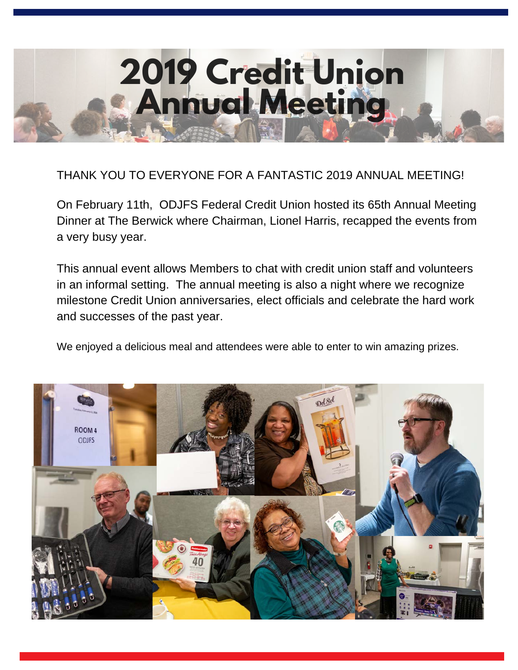

#### THANK YOU TO EVERYONE FOR A FANTASTIC 2019 ANNUAL MEETING!

On February 11th, ODJFS Federal Credit Union hosted its 65th Annual Meeting Dinner at The Berwick where Chairman, Lionel Harris, recapped the events from a very busy year.

This annual event allows Members to chat with credit union staff and volunteers in an informal setting. The annual meeting is also a night where we recognize milestone Credit Union anniversaries, elect officials and celebrate the hard work and successes of the past year.

We enjoyed a delicious meal and attendees were able to enter to win amazing prizes.

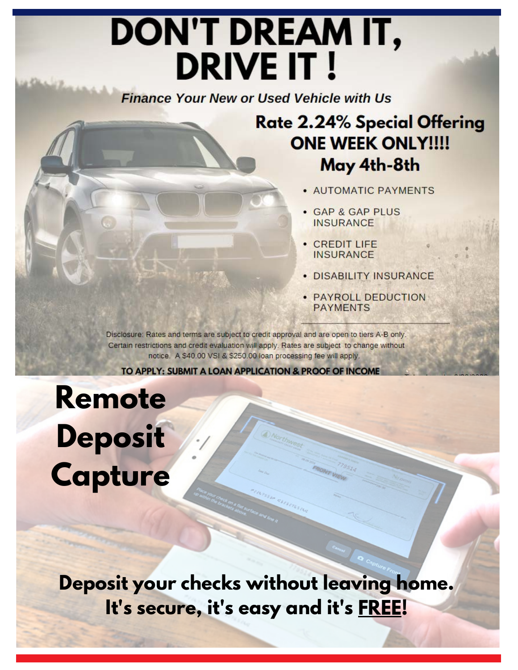# **DON'T DREAM IT, DRIVE IT!**

**Finance Your New or Used Vehicle with Us** 

### **Rate 2.24% Special Offering ONE WEEK ONLY!!!!** May 4th-8th

- · AUTOMATIC PAYMENTS
- · GAP & GAP PLUS **INSURANCE**
- CREDIT LIFE **INSURANCE**
- · DISABILITY INSURANCE
- **PAYROLL DEDUCTION PAYMENTS**

Disclosure: Rates and terms are subject to credit approval and are open to tiers A-B only. Certain restrictions and credit evaluation will apply. Rates are subject to change without notice. A \$40.00 VSI & \$250.00 loan processing fee will apply.

TO APPLY: SUBMIT A LOAN APPLICATION & PROOF OF INCOME

Remote **Deposit** Capture

Deposit your checks without leaving home. It's secure, it's easy and it's FREE!